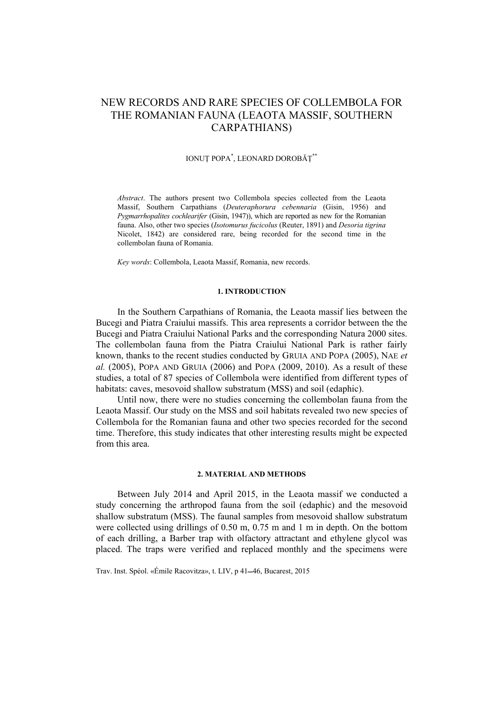# NEW RECORDS AND RARE SPECIES OF COLLEMBOLA FOR THE ROMANIAN FAUNA (LEAOTA MASSIF, SOUTHERN CARPATHIANS)

## IONUŢ POPA\* , LEONARD DOROBĂŢ\*\*

*Abstract*. The authors present two Collembola species collected from the Leaota Massif, Southern Carpathians (*Deuteraphorura cebennaria* (Gisin, 1956) and *Pygmarrhopalites cochlearifer* (Gisin, 1947)), which are reported as new for the Romanian fauna. Also, other two species (*Isotomurus fucicolus* (Reuter, 1891) and *Desoria tigrina*  Nicolet, 1842) are considered rare, being recorded for the second time in the collembolan fauna of Romania.

*Key words*: Collembola, Leaota Massif, Romania, new records.

### **1. INTRODUCTION**

In the Southern Carpathians of Romania, the Leaota massif lies between the Bucegi and Piatra Craiului massifs. This area represents a corridor between the the Bucegi and Piatra Craiului National Parks and the corresponding Natura 2000 sites. The collembolan fauna from the Piatra Craiului National Park is rather fairly known, thanks to the recent studies conducted by GRUIA AND POPA (2005), NAE *et al.* (2005), POPA AND GRUIA (2006) and POPA (2009, 2010). As a result of these studies, a total of 87 species of Collembola were identified from different types of habitats: caves, mesovoid shallow substratum (MSS) and soil (edaphic).

Until now, there were no studies concerning the collembolan fauna from the Leaota Massif. Our study on the MSS and soil habitats revealed two new species of Collembola for the Romanian fauna and other two species recorded for the second time. Therefore, this study indicates that other interesting results might be expected from this area.

#### **2. MATERIAL AND METHODS**

Between July 2014 and April 2015, in the Leaota massif we conducted a study concerning the arthropod fauna from the soil (edaphic) and the mesovoid shallow substratum (MSS). The faunal samples from mesovoid shallow substratum were collected using drillings of 0.50 m, 0.75 m and 1 m in depth. On the bottom of each drilling, a Barber trap with olfactory attractant and ethylene glycol was placed. The traps were verified and replaced monthly and the specimens were

Trav. Inst. Spéol. «Émile Racovitza», t. LIV, p 41–46, Bucarest, 2015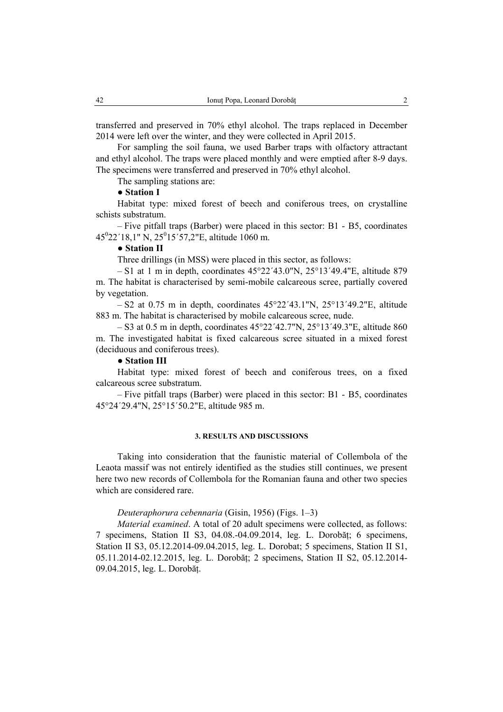transferred and preserved in 70% ethyl alcohol. The traps replaced in December 2014 were left over the winter, and they were collected in April 2015.

For sampling the soil fauna, we used Barber traps with olfactory attractant and ethyl alcohol. The traps were placed monthly and were emptied after 8-9 days. The specimens were transferred and preserved in 70% ethyl alcohol.

The sampling stations are:

# ● **Station I**

Habitat type: mixed forest of beech and coniferous trees, on crystalline schists substratum.

– Five pitfall traps (Barber) were placed in this sector: B1 - B5, coordinates  $45^{\circ}22'18,1''$  N,  $25^{\circ}15'57,2''$ E, altitude 1060 m.

## ● **Station II**

Three drillings (in MSS) were placed in this sector, as follows:

– S1 at 1 m in depth, coordinates  $45^{\circ}22'43.0''N$ ,  $25^{\circ}13'49.4''E$ , altitude 879 m. The habitat is characterised by semi-mobile calcareous scree, partially covered by vegetation.

 $- S2$  at 0.75 m in depth, coordinates  $45^{\circ}22'43.1''N$ ,  $25^{\circ}13'49.2''E$ , altitude 883 m. The habitat is characterised by mobile calcareous scree, nude.

 $-$  S3 at 0.5 m in depth, coordinates 45°22′42.7"N, 25°13′49.3"E, altitude 860 m. The investigated habitat is fixed calcareous scree situated in a mixed forest (deciduous and coniferous trees).

# ● **Station III**

Habitat type: mixed forest of beech and coniferous trees, on a fixed calcareous scree substratum.

– Five pitfall traps (Barber) were placed in this sector: B1 - B5, coordinates 45°24´29.4"N, 25°15´50.2"E, altitude 985 m.

#### **3. RESULTS AND DISCUSSIONS**

Taking into consideration that the faunistic material of Collembola of the Leaota massif was not entirely identified as the studies still continues, we present here two new records of Collembola for the Romanian fauna and other two species which are considered rare.

# *Deuteraphorura cebennaria* (Gisin, 1956) (Figs. 1–3)

*Material examined*. A total of 20 adult specimens were collected, as follows: 7 specimens, Station II S3, 04.08.-04.09.2014, leg. L. Dorobăț; 6 specimens, Station II S3, 05.12.2014-09.04.2015, leg. L. Dorobat; 5 specimens, Station II S1, 05.11.2014-02.12.2015, leg. L. Dorobăț; 2 specimens, Station II S2, 05.12.2014- 09.04.2015, leg. L. Dorobăț.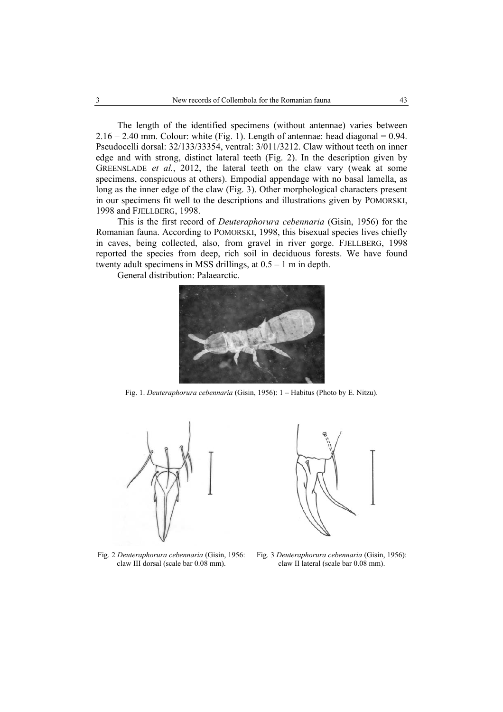The length of the identified specimens (without antennae) varies between  $2.16 - 2.40$  mm. Colour: white (Fig. 1). Length of antennae: head diagonal = 0.94. Pseudocelli dorsal: 32/133/33354, ventral: 3/011/3212. Claw without teeth on inner edge and with strong, distinct lateral teeth (Fig. 2). In the description given by GREENSLADE *et al.*, 2012, the lateral teeth on the claw vary (weak at some specimens, conspicuous at others). Empodial appendage with no basal lamella, as long as the inner edge of the claw (Fig. 3). Other morphological characters present in our specimens fit well to the descriptions and illustrations given by POMORSKI, 1998 and FJELLBERG, 1998.

This is the first record of *Deuteraphorura cebennaria* (Gisin, 1956) for the Romanian fauna. According to POMORSKI, 1998, this bisexual species lives chiefly in caves, being collected, also, from gravel in river gorge. FJELLBERG, 1998 reported the species from deep, rich soil in deciduous forests. We have found twenty adult specimens in MSS drillings, at 0.5 – 1 m in depth.

General distribution: Palaearctic.



Fig. 1. *Deuteraphorura cebennaria* (Gisin, 1956): 1 – Habitus (Photo by E. Nitzu).



Fig. 2 *Deuteraphorura cebennaria* (Gisin, 1956: claw III dorsal (scale bar 0.08 mm).



Fig. 3 *Deuteraphorura cebennaria* (Gisin, 1956): claw II lateral (scale bar 0.08 mm).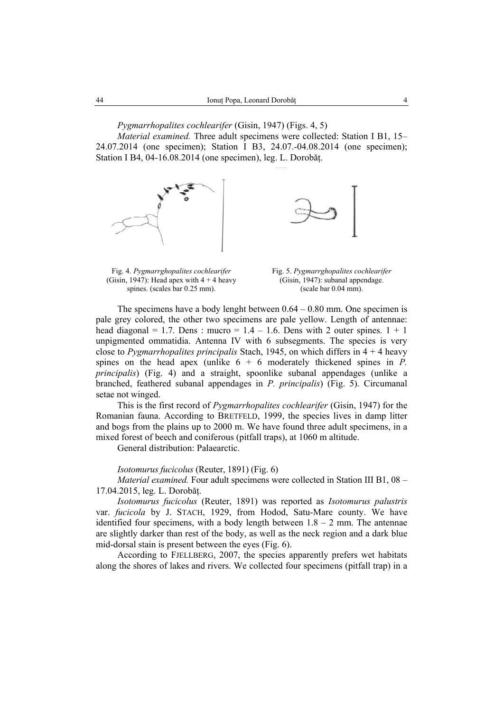*Pygmarrhopalites cochlearifer* (Gisin, 1947) (Figs. 4, 5)

*Material examined.* Three adult specimens were collected: Station I B1, 15– 24.07.2014 (one specimen); Station I B3, 24.07.-04.08.2014 (one specimen); Station I B4, 04-16.08.2014 (one specimen), leg. L. Dorobăț.





Fig. 4. *Pygmarrghopalites cochlearifer*  (Gisin, 1947): Head apex with  $4 + 4$  heavy spines. (scales bar 0.25 mm).

Fig. 5. *Pygmarrghopalites cochlearifer*  (Gisin, 1947): subanal appendage. (scale bar 0.04 mm).

The specimens have a body lenght between  $0.64 - 0.80$  mm. One specimen is pale grey colored, the other two specimens are pale yellow. Length of antennae: head diagonal = 1.7. Dens : mucro =  $1.4 - 1.6$ . Dens with 2 outer spines.  $1 + 1$ unpigmented ommatidia. Antenna IV with 6 subsegments. The species is very close to *Pygmarrhopalites principalis* Stach, 1945, on which differs in 4 + 4 heavy spines on the head apex (unlike  $6 + 6$  moderately thickened spines in *P*. *principalis*) (Fig. 4) and a straight, spoonlike subanal appendages (unlike a branched, feathered subanal appendages in *P. principalis*) (Fig. 5). Circumanal setae not winged.

This is the first record of *Pygmarrhopalites cochlearifer* (Gisin, 1947) for the Romanian fauna. According to BRETFELD, 1999, the species lives in damp litter and bogs from the plains up to 2000 m. We have found three adult specimens, in a mixed forest of beech and coniferous (pitfall traps), at 1060 m altitude.

General distribution: Palaearctic.

### *Isotomurus fucicolus* (Reuter, 1891) (Fig. 6)

*Material examined.* Four adult specimens were collected in Station III B1, 08 – 17.04.2015, leg. L. Dorobăț.

*Isotomurus fucicolus* (Reuter, 1891) was reported as *Isotomurus palustris* var. *fucicola* by J. STACH, 1929, from Hodod, Satu-Mare county. We have identified four specimens, with a body length between  $1.8 - 2$  mm. The antennae are slightly darker than rest of the body, as well as the neck region and a dark blue mid-dorsal stain is present between the eyes (Fig. 6).

According to FJELLBERG, 2007, the species apparently prefers wet habitats along the shores of lakes and rivers. We collected four specimens (pitfall trap) in a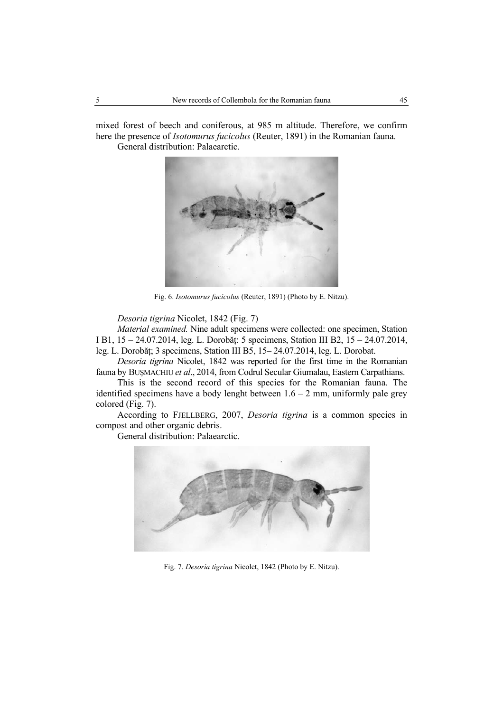mixed forest of beech and coniferous, at 985 m altitude. Therefore, we confirm here the presence of *Isotomurus fucicolus* (Reuter, 1891) in the Romanian fauna. General distribution: Palaearctic.



Fig. 6. *Isotomurus fucicolus* (Reuter, 1891) (Photo by E. Nitzu).

*Desoria tigrina* Nicolet, 1842 (Fig. 7)

*Material examined.* Nine adult specimens were collected: one specimen, Station I B1, 15 – 24.07.2014, leg. L. Dorobăț: 5 specimens, Station III B2, 15 – 24.07.2014, leg. L. Dorobăț; 3 specimens, Station III B5, 15– 24.07.2014, leg. L. Dorobat.

*Desoria tigrina* Nicolet, 1842 was reported for the first time in the Romanian fauna by BUŞMACHIU *et al*., 2014, from Codrul Secular Giumalau, Eastern Carpathians.

This is the second record of this species for the Romanian fauna. The identified specimens have a body lenght between  $1.6 - 2$  mm, uniformly pale grey colored (Fig. 7).

According to FJELLBERG, 2007, *Desoria tigrina* is a common species in compost and other organic debris.

General distribution: Palaearctic.



Fig. 7. *Desoria tigrina* Nicolet, 1842 (Photo by E. Nitzu).